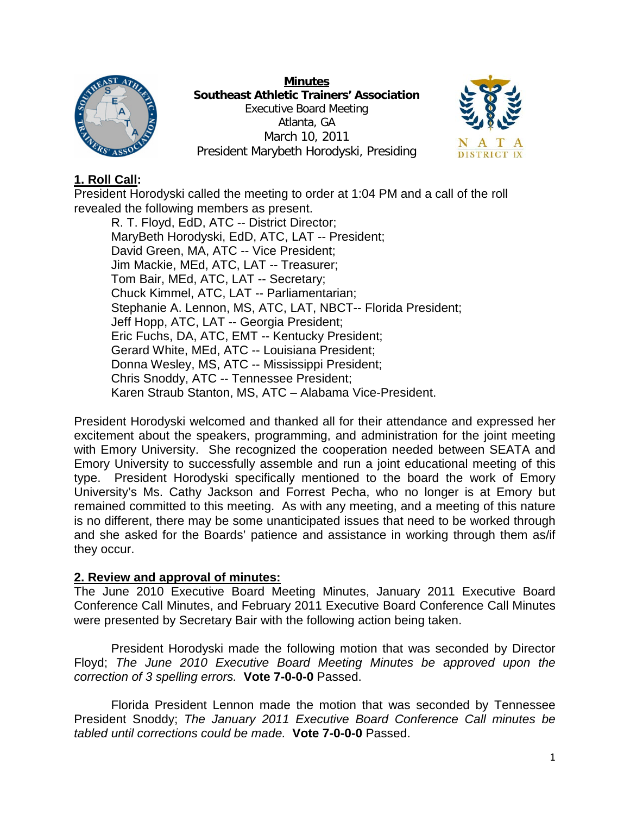

**Minutes Southeast Athletic Trainers' Association** Executive Board Meeting Atlanta, GA March 10, 2011 President Marybeth Horodyski, Presiding



# **1. Roll Call:**

President Horodyski called the meeting to order at 1:04 PM and a call of the roll revealed the following members as present.

R. T. Floyd, EdD, ATC -- District Director; MaryBeth Horodyski, EdD, ATC, LAT -- President; David Green, MA, ATC -- Vice President; Jim Mackie, MEd, ATC, LAT -- Treasurer; Tom Bair, MEd, ATC, LAT -- Secretary; Chuck Kimmel, ATC, LAT -- Parliamentarian; Stephanie A. Lennon, MS, ATC, LAT, NBCT-- Florida President; Jeff Hopp, ATC, LAT -- Georgia President; Eric Fuchs, DA, ATC, EMT -- Kentucky President; Gerard White, MEd, ATC -- Louisiana President; Donna Wesley, MS, ATC -- Mississippi President; Chris Snoddy, ATC -- Tennessee President; Karen Straub Stanton, MS, ATC – Alabama Vice-President.

President Horodyski welcomed and thanked all for their attendance and expressed her excitement about the speakers, programming, and administration for the joint meeting with Emory University. She recognized the cooperation needed between SEATA and Emory University to successfully assemble and run a joint educational meeting of this type. President Horodyski specifically mentioned to the board the work of Emory University's Ms. Cathy Jackson and Forrest Pecha, who no longer is at Emory but remained committed to this meeting. As with any meeting, and a meeting of this nature is no different, there may be some unanticipated issues that need to be worked through and she asked for the Boards' patience and assistance in working through them as/if they occur.

## **2. Review and approval of minutes:**

The June 2010 Executive Board Meeting Minutes, January 2011 Executive Board Conference Call Minutes, and February 2011 Executive Board Conference Call Minutes were presented by Secretary Bair with the following action being taken.

President Horodyski made the following motion that was seconded by Director Floyd; *The June 2010 Executive Board Meeting Minutes be approved upon the correction of 3 spelling errors.* **Vote 7-0-0-0** Passed.

Florida President Lennon made the motion that was seconded by Tennessee President Snoddy; *The January 2011 Executive Board Conference Call minutes be tabled until corrections could be made.* **Vote 7-0-0-0** Passed.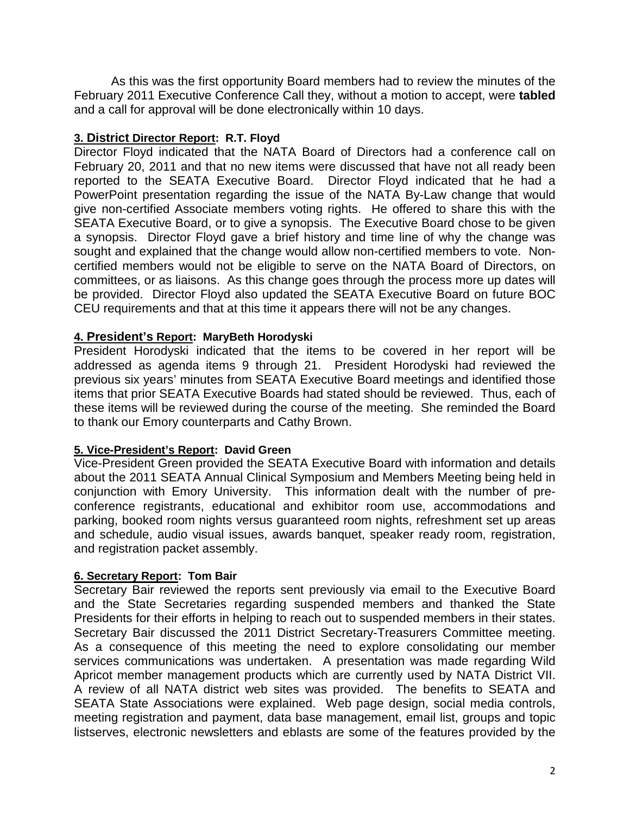As this was the first opportunity Board members had to review the minutes of the February 2011 Executive Conference Call they, without a motion to accept, were **tabled** and a call for approval will be done electronically within 10 days.

### **3. District Director Report: R.T. Floyd**

Director Floyd indicated that the NATA Board of Directors had a conference call on February 20, 2011 and that no new items were discussed that have not all ready been reported to the SEATA Executive Board. Director Floyd indicated that he had a PowerPoint presentation regarding the issue of the NATA By-Law change that would give non-certified Associate members voting rights. He offered to share this with the SEATA Executive Board, or to give a synopsis. The Executive Board chose to be given a synopsis. Director Floyd gave a brief history and time line of why the change was sought and explained that the change would allow non-certified members to vote. Noncertified members would not be eligible to serve on the NATA Board of Directors, on committees, or as liaisons. As this change goes through the process more up dates will be provided. Director Floyd also updated the SEATA Executive Board on future BOC CEU requirements and that at this time it appears there will not be any changes.

### **4. President's Report: MaryBeth Horodyski**

President Horodyski indicated that the items to be covered in her report will be addressed as agenda items 9 through 21. President Horodyski had reviewed the previous six years' minutes from SEATA Executive Board meetings and identified those items that prior SEATA Executive Boards had stated should be reviewed. Thus, each of these items will be reviewed during the course of the meeting. She reminded the Board to thank our Emory counterparts and Cathy Brown.

## **5. Vice-President's Report: David Green**

Vice-President Green provided the SEATA Executive Board with information and details about the 2011 SEATA Annual Clinical Symposium and Members Meeting being held in conjunction with Emory University. This information dealt with the number of preconference registrants, educational and exhibitor room use, accommodations and parking, booked room nights versus guaranteed room nights, refreshment set up areas and schedule, audio visual issues, awards banquet, speaker ready room, registration, and registration packet assembly.

### **6. Secretary Report: Tom Bair**

Secretary Bair reviewed the reports sent previously via email to the Executive Board and the State Secretaries regarding suspended members and thanked the State Presidents for their efforts in helping to reach out to suspended members in their states. Secretary Bair discussed the 2011 District Secretary-Treasurers Committee meeting. As a consequence of this meeting the need to explore consolidating our member services communications was undertaken. A presentation was made regarding Wild Apricot member management products which are currently used by NATA District VII. A review of all NATA district web sites was provided. The benefits to SEATA and SEATA State Associations were explained. Web page design, social media controls, meeting registration and payment, data base management, email list, groups and topic listserves, electronic newsletters and eblasts are some of the features provided by the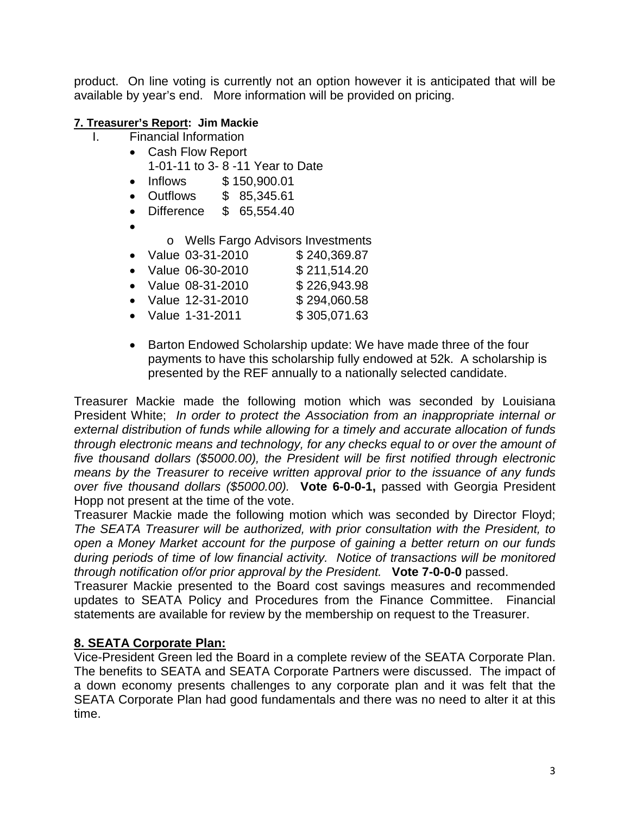product. On line voting is currently not an option however it is anticipated that will be available by year's end. More information will be provided on pricing.

### **7. Treasurer's Report: Jim Mackie**

- I. Financial Information
	- Cash Flow Report
		- 1-01-11 to 3- 8 -11 Year to Date
	- Inflows \$ 150,900.01
	- Outflows \$ 85,345.61
	- Difference \$ 65,554.40
	- •
- o Wells Fargo Advisors Investments<br>ue 03-31-2010 \$ 240.369.87
- Value  $03-31-2010$
- Value 06-30-2010 \$ 211,514.20
- Value 08-31-2010 \$ 226,943.98
- Value 12-31-2010 \$ 294,060.58
- Value 1-31-2011 \$ 305,071.63
- Barton Endowed Scholarship update: We have made three of the four payments to have this scholarship fully endowed at 52k. A scholarship is presented by the REF annually to a nationally selected candidate.

Treasurer Mackie made the following motion which was seconded by Louisiana President White; *In order to protect the Association from an inappropriate internal or external distribution of funds while allowing for a timely and accurate allocation of funds through electronic means and technology, for any checks equal to or over the amount of five thousand dollars (\$5000.00), the President will be first notified through electronic means by the Treasurer to receive written approval prior to the issuance of any funds over five thousand dollars (\$5000.00).* **Vote 6-0-0-1,** passed with Georgia President Hopp not present at the time of the vote.

Treasurer Mackie made the following motion which was seconded by Director Floyd; *The SEATA Treasurer will be authorized, with prior consultation with the President, to open a Money Market account for the purpose of gaining a better return on our funds during periods of time of low financial activity. Notice of transactions will be monitored through notification of/or prior approval by the President.* **Vote 7-0-0-0** passed.

Treasurer Mackie presented to the Board cost savings measures and recommended updates to SEATA Policy and Procedures from the Finance Committee. Financial statements are available for review by the membership on request to the Treasurer.

## **8. SEATA Corporate Plan:**

Vice-President Green led the Board in a complete review of the SEATA Corporate Plan. The benefits to SEATA and SEATA Corporate Partners were discussed. The impact of a down economy presents challenges to any corporate plan and it was felt that the SEATA Corporate Plan had good fundamentals and there was no need to alter it at this time.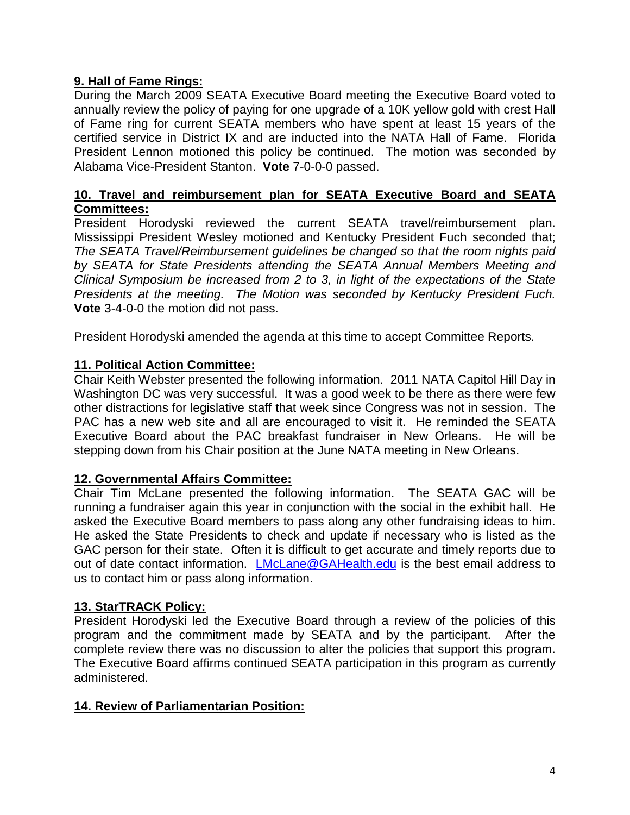## **9. Hall of Fame Rings:**

During the March 2009 SEATA Executive Board meeting the Executive Board voted to annually review the policy of paying for one upgrade of a 10K yellow gold with crest Hall of Fame ring for current SEATA members who have spent at least 15 years of the certified service in District IX and are inducted into the NATA Hall of Fame. Florida President Lennon motioned this policy be continued. The motion was seconded by Alabama Vice-President Stanton. **Vote** 7-0-0-0 passed.

### **10. Travel and reimbursement plan for SEATA Executive Board and SEATA Committees:**

President Horodyski reviewed the current SEATA travel/reimbursement plan. Mississippi President Wesley motioned and Kentucky President Fuch seconded that; *The SEATA Travel/Reimbursement guidelines be changed so that the room nights paid by SEATA for State Presidents attending the SEATA Annual Members Meeting and Clinical Symposium be increased from 2 to 3, in light of the expectations of the State Presidents at the meeting. The Motion was seconded by Kentucky President Fuch.* **Vote** 3-4-0-0 the motion did not pass.

President Horodyski amended the agenda at this time to accept Committee Reports.

## **11. Political Action Committee:**

Chair Keith Webster presented the following information. 2011 NATA Capitol Hill Day in Washington DC was very successful. It was a good week to be there as there were few other distractions for legislative staff that week since Congress was not in session. The PAC has a new web site and all are encouraged to visit it. He reminded the SEATA Executive Board about the PAC breakfast fundraiser in New Orleans. He will be stepping down from his Chair position at the June NATA meeting in New Orleans.

## **12. Governmental Affairs Committee:**

Chair Tim McLane presented the following information. The SEATA GAC will be running a fundraiser again this year in conjunction with the social in the exhibit hall. He asked the Executive Board members to pass along any other fundraising ideas to him. He asked the State Presidents to check and update if necessary who is listed as the GAC person for their state. Often it is difficult to get accurate and timely reports due to out of date contact information. [LMcLane@GAHealth.edu](mailto:LMcLane@GAHealth.edu) is the best email address to us to contact him or pass along information.

## **13. StarTRACK Policy:**

President Horodyski led the Executive Board through a review of the policies of this program and the commitment made by SEATA and by the participant. After the complete review there was no discussion to alter the policies that support this program. The Executive Board affirms continued SEATA participation in this program as currently administered.

## **14. Review of Parliamentarian Position:**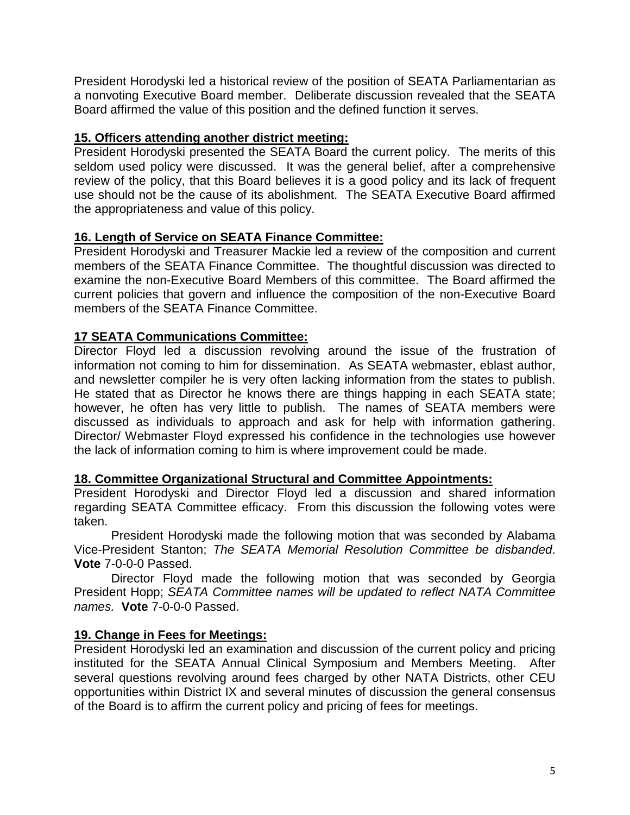President Horodyski led a historical review of the position of SEATA Parliamentarian as a nonvoting Executive Board member. Deliberate discussion revealed that the SEATA Board affirmed the value of this position and the defined function it serves.

### **15. Officers attending another district meeting:**

President Horodyski presented the SEATA Board the current policy. The merits of this seldom used policy were discussed. It was the general belief, after a comprehensive review of the policy, that this Board believes it is a good policy and its lack of frequent use should not be the cause of its abolishment. The SEATA Executive Board affirmed the appropriateness and value of this policy.

## **16. Length of Service on SEATA Finance Committee:**

President Horodyski and Treasurer Mackie led a review of the composition and current members of the SEATA Finance Committee. The thoughtful discussion was directed to examine the non-Executive Board Members of this committee. The Board affirmed the current policies that govern and influence the composition of the non-Executive Board members of the SEATA Finance Committee.

### **17 SEATA Communications Committee:**

Director Floyd led a discussion revolving around the issue of the frustration of information not coming to him for dissemination. As SEATA webmaster, eblast author, and newsletter compiler he is very often lacking information from the states to publish. He stated that as Director he knows there are things happing in each SEATA state; however, he often has very little to publish. The names of SEATA members were discussed as individuals to approach and ask for help with information gathering. Director/ Webmaster Floyd expressed his confidence in the technologies use however the lack of information coming to him is where improvement could be made.

### **18. Committee Organizational Structural and Committee Appointments:**

President Horodyski and Director Floyd led a discussion and shared information regarding SEATA Committee efficacy. From this discussion the following votes were taken.

President Horodyski made the following motion that was seconded by Alabama Vice-President Stanton; *The SEATA Memorial Resolution Committee be disbanded*. **Vote** 7-0-0-0 Passed.

Director Floyd made the following motion that was seconded by Georgia President Hopp; *SEATA Committee names will be updated to reflect NATA Committee names.* **Vote** 7-0-0-0 Passed.

### **19. Change in Fees for Meetings:**

President Horodyski led an examination and discussion of the current policy and pricing instituted for the SEATA Annual Clinical Symposium and Members Meeting. After several questions revolving around fees charged by other NATA Districts, other CEU opportunities within District IX and several minutes of discussion the general consensus of the Board is to affirm the current policy and pricing of fees for meetings.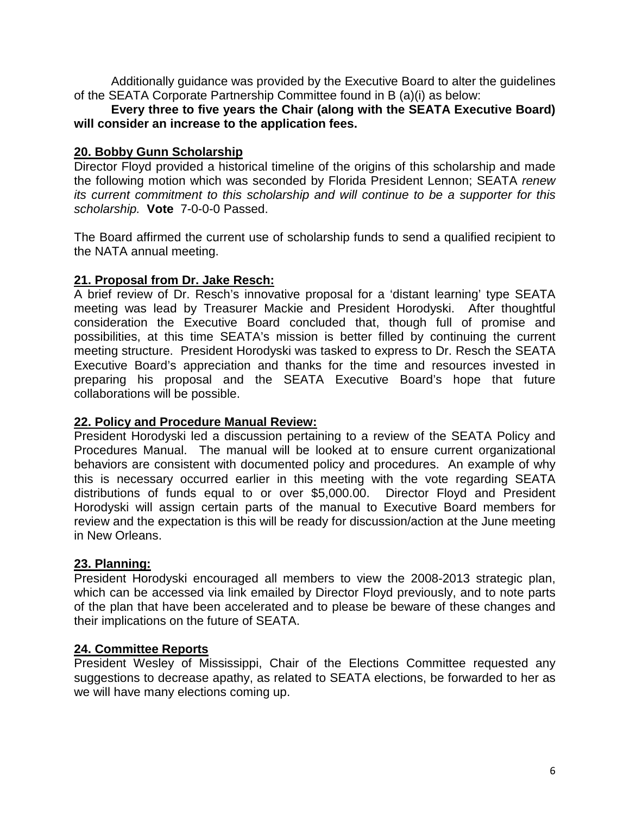Additionally guidance was provided by the Executive Board to alter the guidelines of the SEATA Corporate Partnership Committee found in B (a)(i) as below:

### **Every three to five years the Chair (along with the SEATA Executive Board) will consider an increase to the application fees.**

#### **20. Bobby Gunn Scholarship**

Director Floyd provided a historical timeline of the origins of this scholarship and made the following motion which was seconded by Florida President Lennon; SEATA *renew its current commitment to this scholarship and will continue to be a supporter for this scholarship.* **Vote** 7-0-0-0 Passed.

The Board affirmed the current use of scholarship funds to send a qualified recipient to the NATA annual meeting.

### **21. Proposal from Dr. Jake Resch:**

A brief review of Dr. Resch's innovative proposal for a 'distant learning' type SEATA meeting was lead by Treasurer Mackie and President Horodyski. After thoughtful consideration the Executive Board concluded that, though full of promise and possibilities, at this time SEATA's mission is better filled by continuing the current meeting structure. President Horodyski was tasked to express to Dr. Resch the SEATA Executive Board's appreciation and thanks for the time and resources invested in preparing his proposal and the SEATA Executive Board's hope that future collaborations will be possible.

#### **22. Policy and Procedure Manual Review:**

President Horodyski led a discussion pertaining to a review of the SEATA Policy and Procedures Manual. The manual will be looked at to ensure current organizational behaviors are consistent with documented policy and procedures. An example of why this is necessary occurred earlier in this meeting with the vote regarding SEATA distributions of funds equal to or over \$5,000.00. Director Floyd and President Horodyski will assign certain parts of the manual to Executive Board members for review and the expectation is this will be ready for discussion/action at the June meeting in New Orleans.

### **23. Planning:**

President Horodyski encouraged all members to view the 2008-2013 strategic plan, which can be accessed via link emailed by Director Floyd previously, and to note parts of the plan that have been accelerated and to please be beware of these changes and their implications on the future of SEATA.

### **24. Committee Reports**

President Wesley of Mississippi, Chair of the Elections Committee requested any suggestions to decrease apathy, as related to SEATA elections, be forwarded to her as we will have many elections coming up.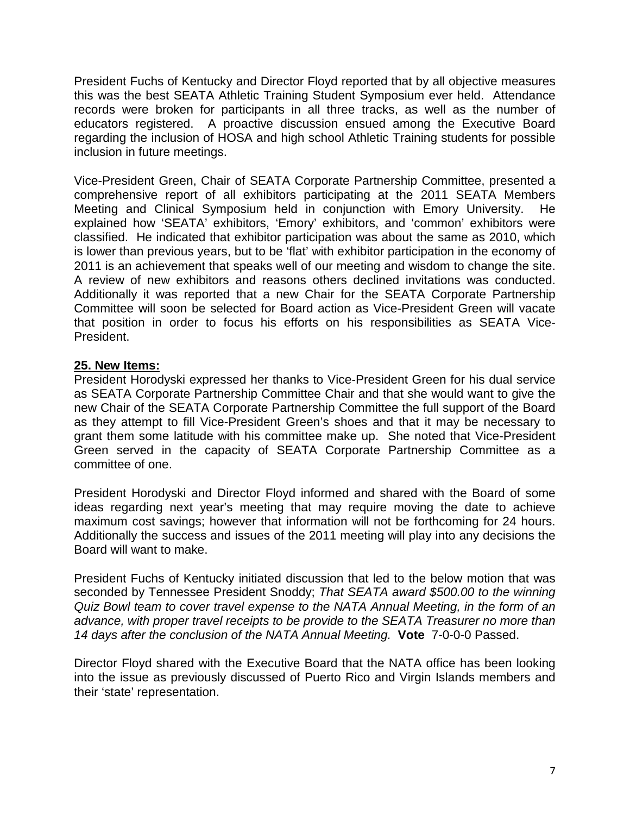President Fuchs of Kentucky and Director Floyd reported that by all objective measures this was the best SEATA Athletic Training Student Symposium ever held. Attendance records were broken for participants in all three tracks, as well as the number of educators registered. A proactive discussion ensued among the Executive Board regarding the inclusion of HOSA and high school Athletic Training students for possible inclusion in future meetings.

Vice-President Green, Chair of SEATA Corporate Partnership Committee, presented a comprehensive report of all exhibitors participating at the 2011 SEATA Members Meeting and Clinical Symposium held in conjunction with Emory University. He explained how 'SEATA' exhibitors, 'Emory' exhibitors, and 'common' exhibitors were classified. He indicated that exhibitor participation was about the same as 2010, which is lower than previous years, but to be 'flat' with exhibitor participation in the economy of 2011 is an achievement that speaks well of our meeting and wisdom to change the site. A review of new exhibitors and reasons others declined invitations was conducted. Additionally it was reported that a new Chair for the SEATA Corporate Partnership Committee will soon be selected for Board action as Vice-President Green will vacate that position in order to focus his efforts on his responsibilities as SEATA Vice-President.

### **25. New Items:**

President Horodyski expressed her thanks to Vice-President Green for his dual service as SEATA Corporate Partnership Committee Chair and that she would want to give the new Chair of the SEATA Corporate Partnership Committee the full support of the Board as they attempt to fill Vice-President Green's shoes and that it may be necessary to grant them some latitude with his committee make up. She noted that Vice-President Green served in the capacity of SEATA Corporate Partnership Committee as a committee of one.

President Horodyski and Director Floyd informed and shared with the Board of some ideas regarding next year's meeting that may require moving the date to achieve maximum cost savings; however that information will not be forthcoming for 24 hours. Additionally the success and issues of the 2011 meeting will play into any decisions the Board will want to make.

President Fuchs of Kentucky initiated discussion that led to the below motion that was seconded by Tennessee President Snoddy; *That SEATA award \$500.00 to the winning Quiz Bowl team to cover travel expense to the NATA Annual Meeting, in the form of an advance, with proper travel receipts to be provide to the SEATA Treasurer no more than 14 days after the conclusion of the NATA Annual Meeting.* **Vote** 7-0-0-0 Passed.

Director Floyd shared with the Executive Board that the NATA office has been looking into the issue as previously discussed of Puerto Rico and Virgin Islands members and their 'state' representation.